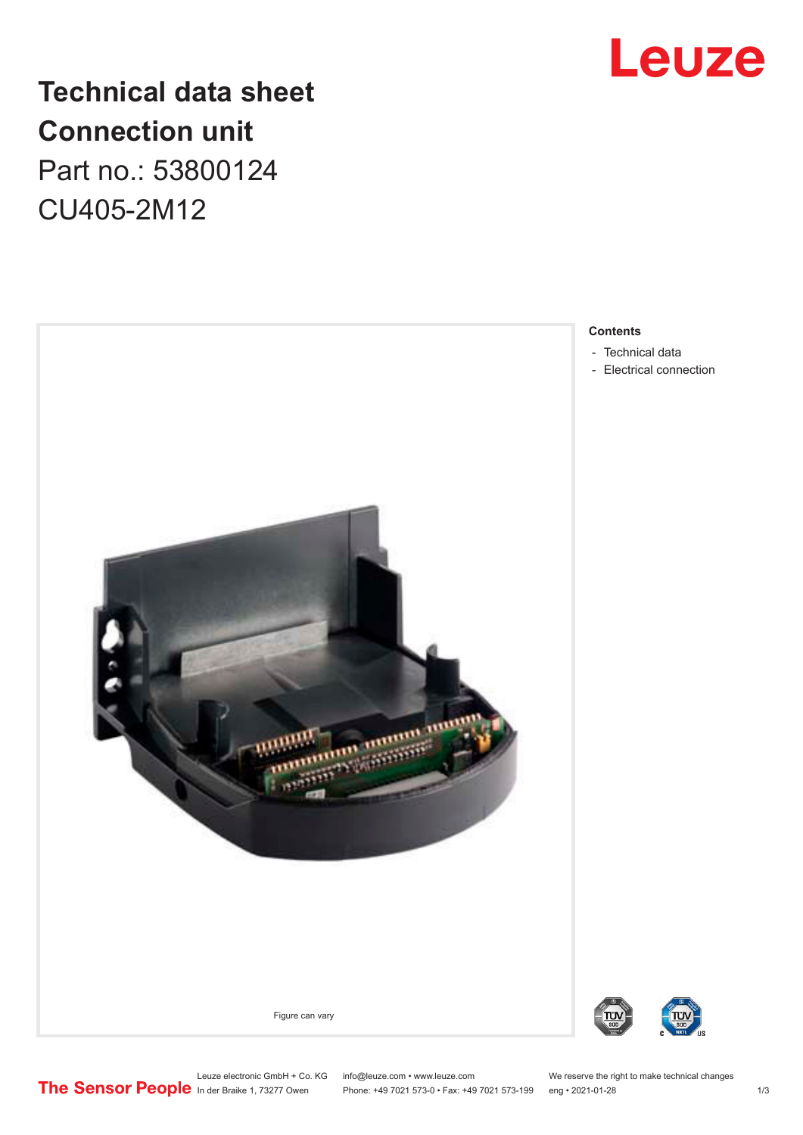

# **Technical data sheet Connection unit** Part no.: 53800124

CU405-2M12



#### **Contents**

- [Technical data](#page-1-0)
- [Electrical connection](#page-1-0)

Leuze electronic GmbH + Co. KG info@leuze.com • www.leuze.com We reserve the right to make technical changes In der Braike 1, 73277 Owen Phone: +49 7021 573-0 • Fax: +49 7021 573-199 eng • 2021-01-28 1/3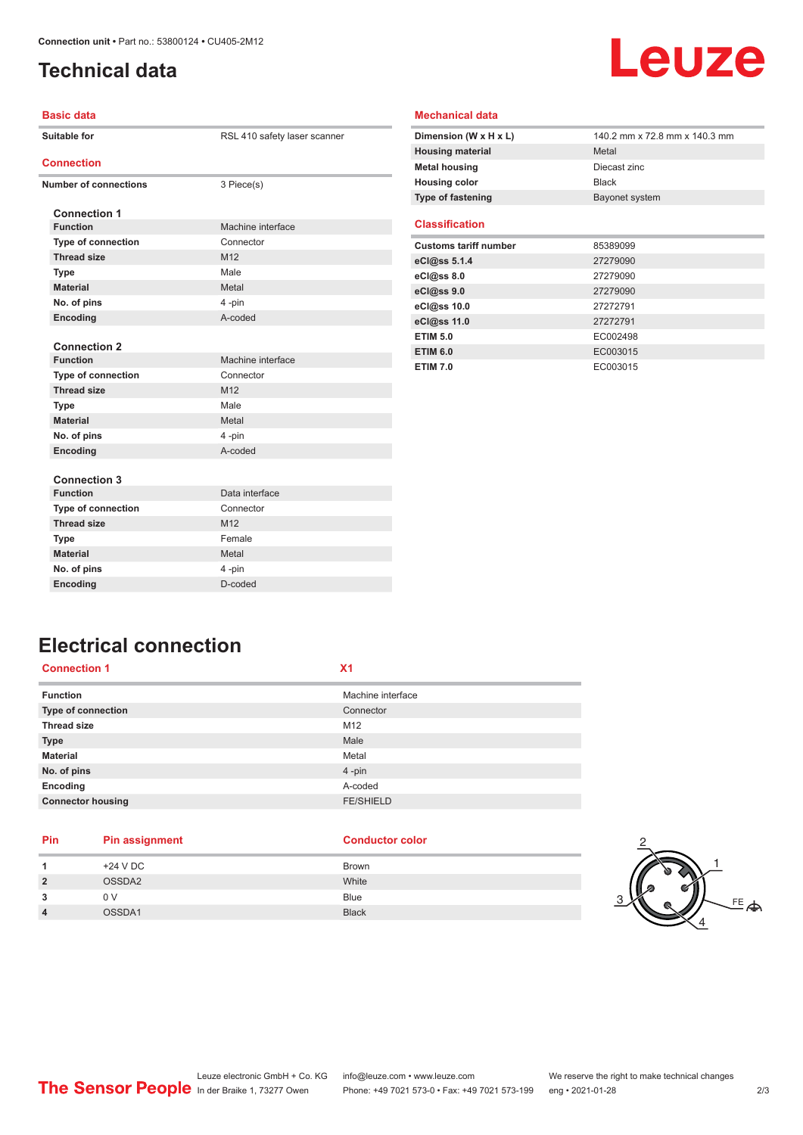# <span id="page-1-0"></span>**Technical data**

# Leuze

#### **Basic data**

| Suitable for                           | RSL 410 safety laser scanner |
|----------------------------------------|------------------------------|
| <b>Connection</b>                      |                              |
| <b>Number of connections</b>           | 3 Piece(s)                   |
|                                        |                              |
| <b>Connection 1</b><br><b>Function</b> | Machine interface            |
|                                        | Connector                    |
| <b>Type of connection</b>              |                              |
| <b>Thread size</b>                     | M <sub>12</sub>              |
| <b>Type</b>                            | Male                         |
| <b>Material</b>                        | Metal                        |
| No. of pins                            | 4-pin                        |
| Encoding                               | A-coded                      |
|                                        |                              |
| <b>Connection 2</b>                    |                              |
| <b>Function</b>                        | Machine interface            |
| Type of connection                     | Connector                    |
| <b>Thread size</b>                     | M <sub>12</sub>              |
| <b>Type</b>                            | Male                         |
| <b>Material</b>                        | Metal                        |
| No. of pins                            | 4-pin                        |
| Encoding                               | A-coded                      |
|                                        |                              |
| <b>Connection 3</b>                    |                              |
| <b>Function</b>                        | Data interface               |
| Type of connection                     | Connector                    |
| <b>Thread size</b>                     | M12                          |
| <b>Type</b>                            | Female                       |
| <b>Material</b>                        | Metal                        |
| No. of pins                            | 4-pin                        |
| Encoding                               | D-coded                      |

| <b>Mechanical data</b> |  |
|------------------------|--|
|------------------------|--|

| Dimension (W x H x L)    | 140.2 mm x 72.8 mm x 140.3 mm |
|--------------------------|-------------------------------|
| <b>Housing material</b>  | Metal                         |
| <b>Metal housing</b>     | Diecast zinc                  |
| <b>Housing color</b>     | <b>Black</b>                  |
| <b>Type of fastening</b> | Bayonet system                |
|                          |                               |

#### **Classification**

| <b>Customs tariff number</b> | 85389099 |
|------------------------------|----------|
| eCl@ss 5.1.4                 | 27279090 |
| eC <sub>1</sub> @ss 8.0      | 27279090 |
| eCl@ss 9.0                   | 27279090 |
| eCl@ss 10.0                  | 27272791 |
| eCl@ss 11.0                  | 27272791 |
| <b>ETIM 5.0</b>              | EC002498 |
| <b>ETIM 6.0</b>              | EC003015 |
| <b>ETIM 7.0</b>              | EC003015 |

## **Electrical connection**

| <b>Connection 1</b>      | X <sub>1</sub>    |
|--------------------------|-------------------|
| <b>Function</b>          | Machine interface |
| Type of connection       | Connector         |
| <b>Thread size</b>       | M12               |
| <b>Type</b>              | Male              |
| <b>Material</b>          | Metal             |
| No. of pins              | 4-pin             |
| Encoding                 | A-coded           |
| <b>Connector housing</b> | <b>FE/SHIELD</b>  |
|                          |                   |

### **Pin Pin assignment Conductor Conductor Color**

| <b>Conductor color</b> |  |
|------------------------|--|
|                        |  |

| $+24$ V DC | Brown        |
|------------|--------------|
| OSSDA2     | White        |
| 0 V        | Blue         |
| OSSDA1     | <b>Black</b> |
|            |              |